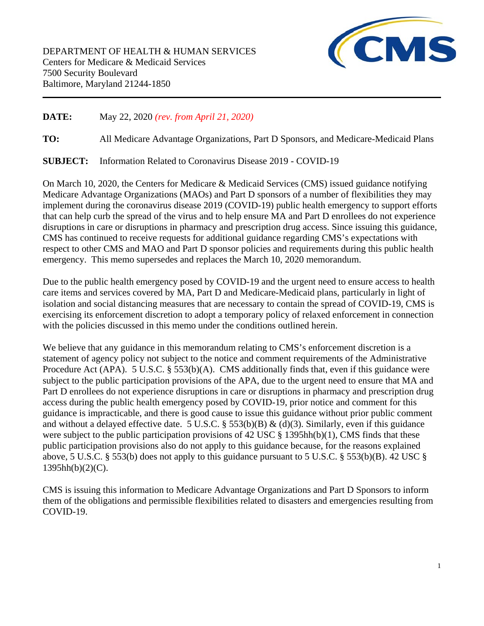DEPARTMENT OF HEALTH & HUMAN SERVICES Centers for Medicare & Medicaid Services 7500 Security Boulevard Baltimore, Maryland 21244-1850



## **DATE:** May 22, 2020 *(rev. from April 21, 2020)*

**TO:** All Medicare Advantage Organizations, Part D Sponsors, and Medicare-Medicaid Plans

**SUBJECT:** Information Related to Coronavirus Disease 2019 - COVID-19

On March 10, 2020, the Centers for Medicare & Medicaid Services (CMS) issued guidance notifying Medicare Advantage Organizations (MAOs) and Part D sponsors of a number of flexibilities they may implement during the coronavirus disease 2019 (COVID-19) public health emergency to support efforts that can help curb the spread of the virus and to help ensure MA and Part D enrollees do not experience disruptions in care or disruptions in pharmacy and prescription drug access. Since issuing this guidance, CMS has continued to receive requests for additional guidance regarding CMS's expectations with respect to other CMS and MAO and Part D sponsor policies and requirements during this public health emergency. This memo supersedes and replaces the March 10, 2020 memorandum.

Due to the public health emergency posed by COVID-19 and the urgent need to ensure access to health care items and services covered by MA, Part D and Medicare-Medicaid plans, particularly in light of isolation and social distancing measures that are necessary to contain the spread of COVID-19, CMS is exercising its enforcement discretion to adopt a temporary policy of relaxed enforcement in connection with the policies discussed in this memo under the conditions outlined herein.

We believe that any guidance in this memorandum relating to CMS's enforcement discretion is a statement of agency policy not subject to the notice and comment requirements of the Administrative Procedure Act (APA). 5 U.S.C. § 553(b)(A). CMS additionally finds that, even if this guidance were subject to the public participation provisions of the APA, due to the urgent need to ensure that MA and Part D enrollees do not experience disruptions in care or disruptions in pharmacy and prescription drug access during the public health emergency posed by COVID-19, prior notice and comment for this guidance is impracticable, and there is good cause to issue this guidance without prior public comment and without a delayed effective date. 5 U.S.C. § 553(b)(B) & (d)(3). Similarly, even if this guidance were subject to the public participation provisions of 42 USC  $\S$  1395hh(b)(1), CMS finds that these public participation provisions also do not apply to this guidance because, for the reasons explained above, 5 U.S.C. § 553(b) does not apply to this guidance pursuant to 5 U.S.C. § 553(b)(B). 42 USC § 1395hh(b)(2)(C).

CMS is issuing this information to Medicare Advantage Organizations and Part D Sponsors to inform them of the obligations and permissible flexibilities related to disasters and emergencies resulting from COVID-19.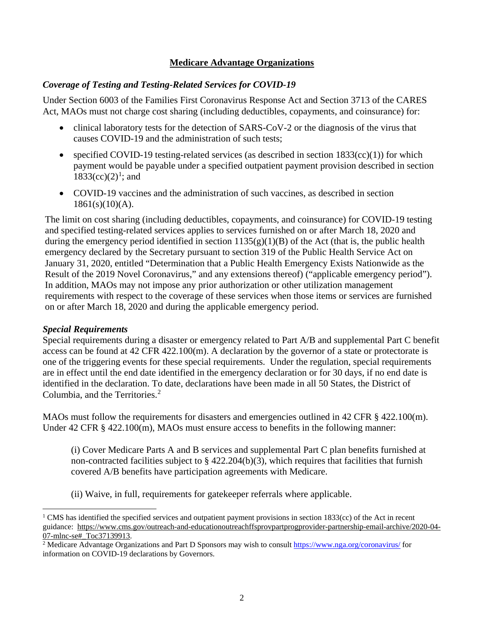## **Medicare Advantage Organizations**

## *Coverage of Testing and Testing-Related Services for COVID-19*

Under Section 6003 of the Families First Coronavirus Response Act and Section 3713 of the CARES Act, MAOs must not charge cost sharing (including deductibles, copayments, and coinsurance) for:

- clinical laboratory tests for the detection of SARS-CoV-2 or the diagnosis of the virus that causes COVID-19 and the administration of such tests;
- specified COVID-19 testing-related services (as described in section  $1833(cc)(1)$ ) for which payment would be payable under a specified outpatient payment provision described in section  $1833(cc)(2)<sup>1</sup>$  $1833(cc)(2)<sup>1</sup>$ ; and
- COVID-19 vaccines and the administration of such vaccines, as described in section  $1861(s)(10)(A)$ .

The limit on cost sharing (including deductibles, copayments, and coinsurance) for COVID-19 testing and specified testing-related services applies to services furnished on or after March 18, 2020 and during the emergency period identified in section  $1135(g)(1)(B)$  of the Act (that is, the public health emergency declared by the Secretary pursuant to section 319 of the Public Health Service Act on January 31, 2020, entitled "Determination that a Public Health Emergency Exists Nationwide as the Result of the 2019 Novel Coronavirus," and any extensions thereof) ("applicable emergency period"). In addition, MAOs may not impose any prior authorization or other utilization management requirements with respect to the coverage of these services when those items or services are furnished on or after March 18, 2020 and during the applicable emergency period.

#### *Special Requirements*

Special requirements during a disaster or emergency related to Part A/B and supplemental Part C benefit access can be found at 42 CFR 422.100(m). A declaration by the governor of a state or protectorate is one of the triggering events for these special requirements. Under the regulation, special requirements are in effect until the end date identified in the emergency declaration or for 30 days, if no end date is identified in the declaration. To date, declarations have been made in all 50 States, the District of Columbia, and the Territories.<sup>[2](#page-1-1)</sup>

MAOs must follow the requirements for disasters and emergencies outlined in 42 CFR § 422.100(m). Under 42 CFR § 422.100(m), MAOs must ensure access to benefits in the following manner:

(i) Cover Medicare Parts A and B services and supplemental Part C plan benefits furnished at non-contracted facilities subject to § 422.204(b)(3), which requires that facilities that furnish covered A/B benefits have participation agreements with Medicare.

(ii) Waive, in full, requirements for gatekeeper referrals where applicable.

<span id="page-1-0"></span> $1 \text{ CMS}$  has identified the specified services and outpatient payment provisions in section 1833(cc) of the Act in recent guidance: [https://www.cms.gov/outreach-and-educationoutreachffsprovpartprogprovider-partnership-email-archive/2020-04-](https://www.cms.gov/outreach-and-educationoutreachffsprovpartprogprovider-partnership-email-archive/2020-04-07-mlnc-se#_Toc37139913) 07-mlnc-se# Toc37139913.

<span id="page-1-1"></span><sup>2</sup> Medicare Advantage Organizations and Part D Sponsors may wish to consul[t https://www.nga.org/coronavirus/](https://www.nga.org/coronavirus/) for information on COVID-19 declarations by Governors.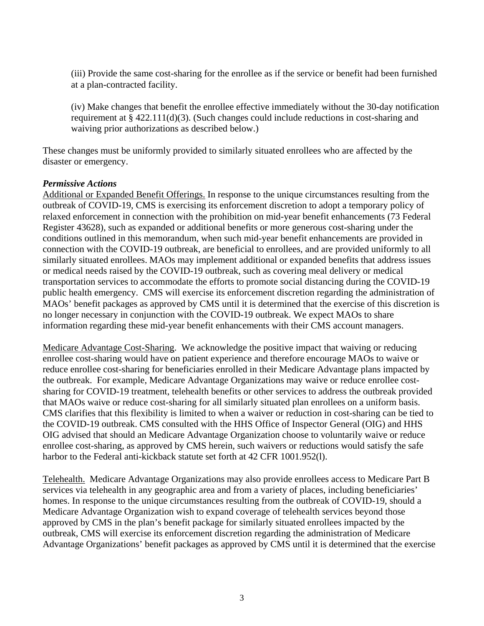(iii) Provide the same cost-sharing for the enrollee as if the service or benefit had been furnished at a plan-contracted facility.

(iv) Make changes that benefit the enrollee effective immediately without the 30-day notification requirement at § 422.111(d)(3). (Such changes could include reductions in cost-sharing and waiving prior authorizations as described below.)

These changes must be uniformly provided to similarly situated enrollees who are affected by the disaster or emergency.

#### *Permissive Actions*

Additional or Expanded Benefit Offerings. In response to the unique circumstances resulting from the outbreak of COVID-19, CMS is exercising its enforcement discretion to adopt a temporary policy of relaxed enforcement in connection with the prohibition on mid-year benefit enhancements (73 Federal Register 43628), such as expanded or additional benefits or more generous cost-sharing under the conditions outlined in this memorandum, when such mid-year benefit enhancements are provided in connection with the COVID-19 outbreak, are beneficial to enrollees, and are provided uniformly to all similarly situated enrollees. MAOs may implement additional or expanded benefits that address issues or medical needs raised by the COVID-19 outbreak, such as covering meal delivery or medical transportation services to accommodate the efforts to promote social distancing during the COVID-19 public health emergency. CMS will exercise its enforcement discretion regarding the administration of MAOs' benefit packages as approved by CMS until it is determined that the exercise of this discretion is no longer necessary in conjunction with the COVID-19 outbreak. We expect MAOs to share information regarding these mid-year benefit enhancements with their CMS account managers.

Medicare Advantage Cost-Sharing. We acknowledge the positive impact that waiving or reducing enrollee cost-sharing would have on patient experience and therefore encourage MAOs to waive or reduce enrollee cost-sharing for beneficiaries enrolled in their Medicare Advantage plans impacted by the outbreak. For example, Medicare Advantage Organizations may waive or reduce enrollee costsharing for COVID-19 treatment, telehealth benefits or other services to address the outbreak provided that MAOs waive or reduce cost-sharing for all similarly situated plan enrollees on a uniform basis. CMS clarifies that this flexibility is limited to when a waiver or reduction in cost-sharing can be tied to the COVID-19 outbreak. CMS consulted with the HHS Office of Inspector General (OIG) and HHS OIG advised that should an Medicare Advantage Organization choose to voluntarily waive or reduce enrollee cost-sharing, as approved by CMS herein, such waivers or reductions would satisfy the safe harbor to the Federal anti-kickback statute set forth at 42 CFR 1001.952(l).

Telehealth. Medicare Advantage Organizations may also provide enrollees access to Medicare Part B services via telehealth in any geographic area and from a variety of places, including beneficiaries' homes. In response to the unique circumstances resulting from the outbreak of COVID-19, should a Medicare Advantage Organization wish to expand coverage of telehealth services beyond those approved by CMS in the plan's benefit package for similarly situated enrollees impacted by the outbreak, CMS will exercise its enforcement discretion regarding the administration of Medicare Advantage Organizations' benefit packages as approved by CMS until it is determined that the exercise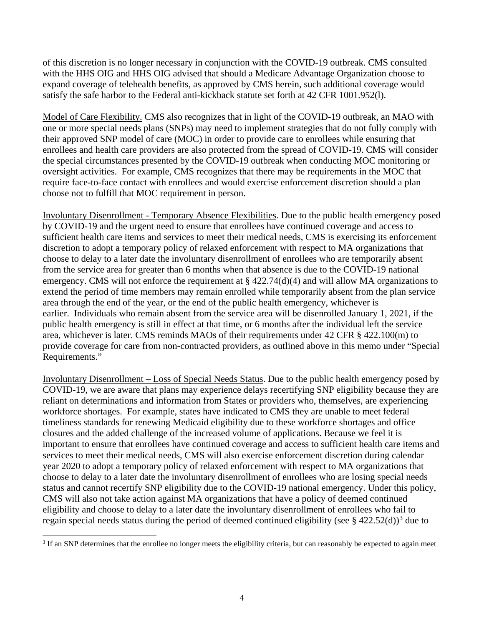of this discretion is no longer necessary in conjunction with the COVID-19 outbreak. CMS consulted with the HHS OIG and HHS OIG advised that should a Medicare Advantage Organization choose to expand coverage of telehealth benefits, as approved by CMS herein, such additional coverage would satisfy the safe harbor to the Federal anti-kickback statute set forth at 42 CFR 1001.952(l).

Model of Care Flexibility. CMS also recognizes that in light of the COVID-19 outbreak, an MAO with one or more special needs plans (SNPs) may need to implement strategies that do not fully comply with their approved SNP model of care (MOC) in order to provide care to enrollees while ensuring that enrollees and health care providers are also protected from the spread of COVID-19. CMS will consider the special circumstances presented by the COVID-19 outbreak when conducting MOC monitoring or oversight activities. For example, CMS recognizes that there may be requirements in the MOC that require face-to-face contact with enrollees and would exercise enforcement discretion should a plan choose not to fulfill that MOC requirement in person.

Involuntary Disenrollment - Temporary Absence Flexibilities. Due to the public health emergency posed by COVID-19 and the urgent need to ensure that enrollees have continued coverage and access to sufficient health care items and services to meet their medical needs, CMS is exercising its enforcement discretion to adopt a temporary policy of relaxed enforcement with respect to MA organizations that choose to delay to a later date the involuntary disenrollment of enrollees who are temporarily absent from the service area for greater than 6 months when that absence is due to the COVID-19 national emergency. CMS will not enforce the requirement at § 422.74(d)(4) and will allow MA organizations to extend the period of time members may remain enrolled while temporarily absent from the plan service area through the end of the year, or the end of the public health emergency, whichever is earlier. Individuals who remain absent from the service area will be disenrolled January 1, 2021, if the public health emergency is still in effect at that time, or 6 months after the individual left the service area, whichever is later. CMS reminds MAOs of their requirements under 42 CFR § 422.100(m) to provide coverage for care from non-contracted providers, as outlined above in this memo under "Special Requirements."

Involuntary Disenrollment – Loss of Special Needs Status. Due to the public health emergency posed by COVID-19, we are aware that plans may experience delays recertifying SNP eligibility because they are reliant on determinations and information from States or providers who, themselves, are experiencing workforce shortages. For example, states have indicated to CMS they are unable to meet federal timeliness standards for renewing Medicaid eligibility due to these workforce shortages and office closures and the added challenge of the increased volume of applications. Because we feel it is important to ensure that enrollees have continued coverage and access to sufficient health care items and services to meet their medical needs, CMS will also exercise enforcement discretion during calendar year 2020 to adopt a temporary policy of relaxed enforcement with respect to MA organizations that choose to delay to a later date the involuntary disenrollment of enrollees who are losing special needs status and cannot recertify SNP eligibility due to the COVID-19 national emergency. Under this policy, CMS will also not take action against MA organizations that have a policy of deemed continued eligibility and choose to delay to a later date the involuntary disenrollment of enrollees who fail to regain special needs status during the period of deemed continued eligibility (see  $\S$  422.52(d))<sup>[3](#page-3-0)</sup> due to

<span id="page-3-0"></span><sup>&</sup>lt;sup>3</sup> If an SNP determines that the enrollee no longer meets the eligibility criteria, but can reasonably be expected to again meet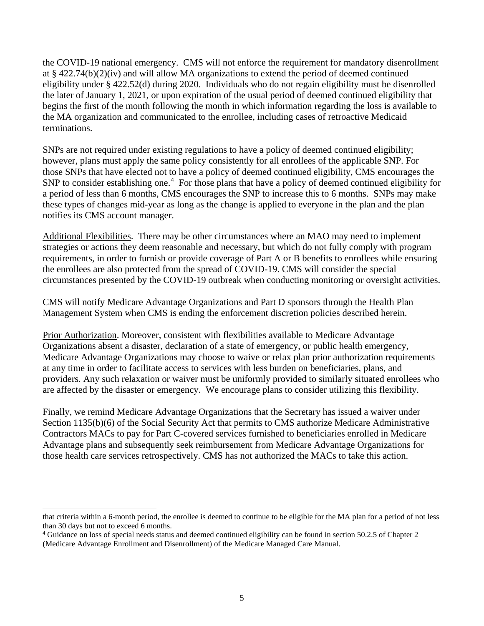the COVID-19 national emergency. CMS will not enforce the requirement for mandatory disenrollment at § 422.74(b)(2)(iv) and will allow MA organizations to extend the period of deemed continued eligibility under § 422.52(d) during 2020. Individuals who do not regain eligibility must be disenrolled the later of January 1, 2021, or upon expiration of the usual period of deemed continued eligibility that begins the first of the month following the month in which information regarding the loss is available to the MA organization and communicated to the enrollee, including cases of retroactive Medicaid terminations.

SNPs are not required under existing regulations to have a policy of deemed continued eligibility; however, plans must apply the same policy consistently for all enrollees of the applicable SNP. For those SNPs that have elected not to have a policy of deemed continued eligibility, CMS encourages the SNP to consider establishing one.<sup>[4](#page-4-0)</sup> For those plans that have a policy of deemed continued eligibility for a period of less than 6 months, CMS encourages the SNP to increase this to 6 months. SNPs may make these types of changes mid-year as long as the change is applied to everyone in the plan and the plan notifies its CMS account manager.

Additional Flexibilities. There may be other circumstances where an MAO may need to implement strategies or actions they deem reasonable and necessary, but which do not fully comply with program requirements, in order to furnish or provide coverage of Part A or B benefits to enrollees while ensuring the enrollees are also protected from the spread of COVID-19. CMS will consider the special circumstances presented by the COVID-19 outbreak when conducting monitoring or oversight activities.

CMS will notify Medicare Advantage Organizations and Part D sponsors through the Health Plan Management System when CMS is ending the enforcement discretion policies described herein.

Prior Authorization. Moreover, consistent with flexibilities available to Medicare Advantage Organizations absent a disaster, declaration of a state of emergency, or public health emergency, Medicare Advantage Organizations may choose to waive or relax plan prior authorization requirements at any time in order to facilitate access to services with less burden on beneficiaries, plans, and providers. Any such relaxation or waiver must be uniformly provided to similarly situated enrollees who are affected by the disaster or emergency. We encourage plans to consider utilizing this flexibility.

Finally, we remind Medicare Advantage Organizations that the Secretary has issued a waiver under Section 1135(b)(6) of the Social Security Act that permits to CMS authorize Medicare Administrative Contractors MACs to pay for Part C-covered services furnished to beneficiaries enrolled in Medicare Advantage plans and subsequently seek reimbursement from Medicare Advantage Organizations for those health care services retrospectively. CMS has not authorized the MACs to take this action.

that criteria within a 6-month period, the enrollee is deemed to continue to be eligible for the MA plan for a period of not less than 30 days but not to exceed 6 months.

<span id="page-4-0"></span><sup>4</sup> Guidance on loss of special needs status and deemed continued eligibility can be found in section 50.2.5 of Chapter 2 (Medicare Advantage Enrollment and Disenrollment) of the Medicare Managed Care Manual.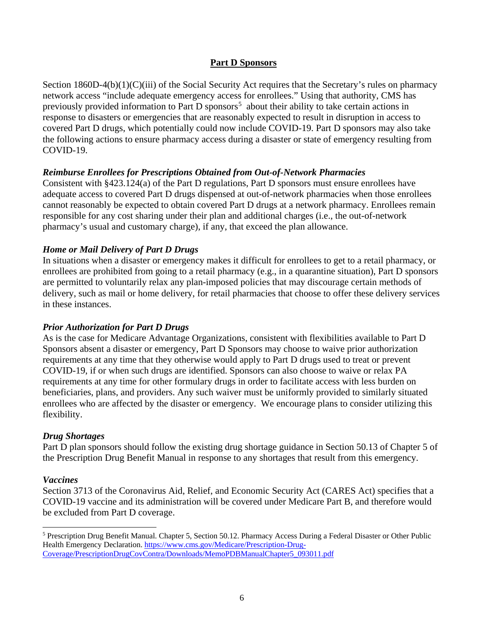#### **Part D Sponsors**

Section 1860D-4(b)(1)(C)(iii) of the Social Security Act requires that the Secretary's rules on pharmacy network access "include adequate emergency access for enrollees." Using that authority, CMS has previously provided information to Part D sponsors<sup>[5](#page-5-0)</sup> about their ability to take certain actions in response to disasters or emergencies that are reasonably expected to result in disruption in access to covered Part D drugs, which potentially could now include COVID-19. Part D sponsors may also take the following actions to ensure pharmacy access during a disaster or state of emergency resulting from COVID-19.

#### *Reimburse Enrollees for Prescriptions Obtained from Out-of-Network Pharmacies*

Consistent with §423.124(a) of the Part D regulations, Part D sponsors must ensure enrollees have adequate access to covered Part D drugs dispensed at out-of-network pharmacies when those enrollees cannot reasonably be expected to obtain covered Part D drugs at a network pharmacy. Enrollees remain responsible for any cost sharing under their plan and additional charges (i.e., the out-of-network pharmacy's usual and customary charge), if any, that exceed the plan allowance.

#### *Home or Mail Delivery of Part D Drugs*

In situations when a disaster or emergency makes it difficult for enrollees to get to a retail pharmacy, or enrollees are prohibited from going to a retail pharmacy (e.g., in a quarantine situation), Part D sponsors are permitted to voluntarily relax any plan-imposed policies that may discourage certain methods of delivery, such as mail or home delivery, for retail pharmacies that choose to offer these delivery services in these instances.

#### *Prior Authorization for Part D Drugs*

As is the case for Medicare Advantage Organizations, consistent with flexibilities available to Part D Sponsors absent a disaster or emergency, Part D Sponsors may choose to waive prior authorization requirements at any time that they otherwise would apply to Part D drugs used to treat or prevent COVID-19, if or when such drugs are identified. Sponsors can also choose to waive or relax PA requirements at any time for other formulary drugs in order to facilitate access with less burden on beneficiaries, plans, and providers. Any such waiver must be uniformly provided to similarly situated enrollees who are affected by the disaster or emergency. We encourage plans to consider utilizing this flexibility.

#### *Drug Shortages*

Part D plan sponsors should follow the existing drug shortage guidance in Section 50.13 of Chapter 5 of the Prescription Drug Benefit Manual in response to any shortages that result from this emergency.

#### *Vaccines*

Section 3713 of the Coronavirus Aid, Relief, and Economic Security Act (CARES Act) specifies that a COVID-19 vaccine and its administration will be covered under Medicare Part B, and therefore would be excluded from Part D coverage.

<span id="page-5-0"></span><sup>5</sup> Prescription Drug Benefit Manual. Chapter 5, Section 50.12. Pharmacy Access During a Federal Disaster or Other Public Health Emergency Declaration. [https://www.cms.gov/Medicare/Prescription-Drug-](https://www.cms.gov/Medicare/Prescription-Drug-Coverage/PrescriptionDrugCovContra/Downloads/MemoPDBManualChapter5_093011.pdf)[Coverage/PrescriptionDrugCovContra/Downloads/MemoPDBManualChapter5\\_093011.pdf](https://www.cms.gov/Medicare/Prescription-Drug-Coverage/PrescriptionDrugCovContra/Downloads/MemoPDBManualChapter5_093011.pdf)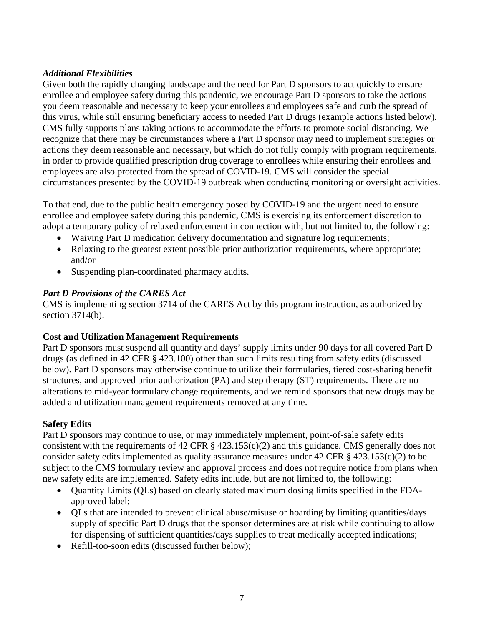# *Additional Flexibilities*

Given both the rapidly changing landscape and the need for Part D sponsors to act quickly to ensure enrollee and employee safety during this pandemic, we encourage Part D sponsors to take the actions you deem reasonable and necessary to keep your enrollees and employees safe and curb the spread of this virus, while still ensuring beneficiary access to needed Part D drugs (example actions listed below). CMS fully supports plans taking actions to accommodate the efforts to promote social distancing. We recognize that there may be circumstances where a Part D sponsor may need to implement strategies or actions they deem reasonable and necessary, but which do not fully comply with program requirements, in order to provide qualified prescription drug coverage to enrollees while ensuring their enrollees and employees are also protected from the spread of COVID-19. CMS will consider the special circumstances presented by the COVID-19 outbreak when conducting monitoring or oversight activities.

To that end, due to the public health emergency posed by COVID-19 and the urgent need to ensure enrollee and employee safety during this pandemic, CMS is exercising its enforcement discretion to adopt a temporary policy of relaxed enforcement in connection with, but not limited to, the following:

- Waiving Part D medication delivery documentation and signature log requirements;
- Relaxing to the greatest extent possible prior authorization requirements, where appropriate; and/or
- Suspending plan-coordinated pharmacy audits.

# *Part D Provisions of the CARES Act*

CMS is implementing section 3714 of the CARES Act by this program instruction, as authorized by section 3714(b).

## **Cost and Utilization Management Requirements**

Part D sponsors must suspend all quantity and days' supply limits under 90 days for all covered Part D drugs (as defined in 42 CFR § 423.100) other than such limits resulting from safety edits (discussed below). Part D sponsors may otherwise continue to utilize their formularies, tiered cost-sharing benefit structures, and approved prior authorization (PA) and step therapy (ST) requirements. There are no alterations to mid-year formulary change requirements, and we remind sponsors that new drugs may be added and utilization management requirements removed at any time.

## **Safety Edits**

Part D sponsors may continue to use, or may immediately implement, point-of-sale safety edits consistent with the requirements of 42 CFR  $\S$  423.153(c)(2) and this guidance. CMS generally does not consider safety edits implemented as quality assurance measures under 42 CFR § 423.153(c)(2) to be subject to the CMS formulary review and approval process and does not require notice from plans when new safety edits are implemented. Safety edits include, but are not limited to, the following:

- Quantity Limits (QLs) based on clearly stated maximum dosing limits specified in the FDAapproved label;
- QLs that are intended to prevent clinical abuse/misuse or hoarding by limiting quantities/days supply of specific Part D drugs that the sponsor determines are at risk while continuing to allow for dispensing of sufficient quantities/days supplies to treat medically accepted indications;
- Refill-too-soon edits (discussed further below);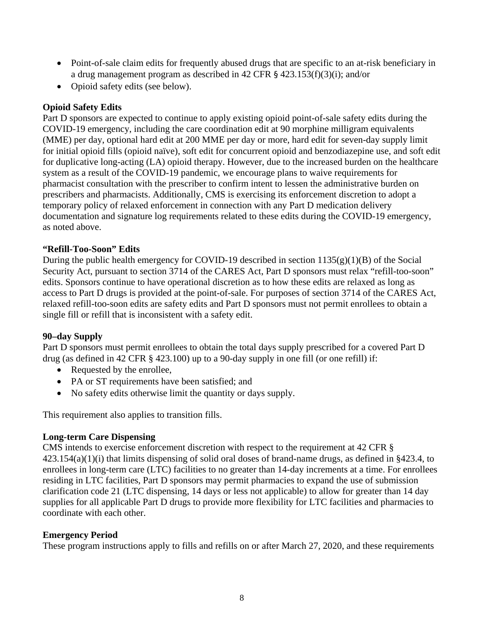- Point-of-sale claim edits for frequently abused drugs that are specific to an at-risk beneficiary in a drug management program as described in 42 CFR § 423.153(f)(3)(i); and/or
- Opioid safety edits (see below).

## **Opioid Safety Edits**

Part D sponsors are expected to continue to apply existing opioid point-of-sale safety edits during the COVID-19 emergency, including the care coordination edit at 90 morphine milligram equivalents (MME) per day, optional hard edit at 200 MME per day or more, hard edit for seven-day supply limit for initial opioid fills (opioid naïve), soft edit for concurrent opioid and benzodiazepine use, and soft edit for duplicative long-acting (LA) opioid therapy. However, due to the increased burden on the healthcare system as a result of the COVID-19 pandemic, we encourage plans to waive requirements for pharmacist consultation with the prescriber to confirm intent to lessen the administrative burden on prescribers and pharmacists. Additionally, CMS is exercising its enforcement discretion to adopt a temporary policy of relaxed enforcement in connection with any Part D medication delivery documentation and signature log requirements related to these edits during the COVID-19 emergency, as noted above.

## **"Refill-Too-Soon" Edits**

During the public health emergency for COVID-19 described in section  $1135(g)(1)(B)$  of the Social Security Act, pursuant to section 3714 of the CARES Act, Part D sponsors must relax "refill-too-soon" edits. Sponsors continue to have operational discretion as to how these edits are relaxed as long as access to Part D drugs is provided at the point-of-sale. For purposes of section 3714 of the CARES Act, relaxed refill-too-soon edits are safety edits and Part D sponsors must not permit enrollees to obtain a single fill or refill that is inconsistent with a safety edit.

## **90–day Supply**

Part D sponsors must permit enrollees to obtain the total days supply prescribed for a covered Part D drug (as defined in 42 CFR § 423.100) up to a 90-day supply in one fill (or one refill) if:

- Requested by the enrollee,
- PA or ST requirements have been satisfied; and
- No safety edits otherwise limit the quantity or days supply.

This requirement also applies to transition fills.

## **Long-term Care Dispensing**

CMS intends to exercise enforcement discretion with respect to the requirement at 42 CFR § 423.154(a)(1)(i) that limits dispensing of solid oral doses of brand-name drugs, as defined in §423.4, to enrollees in long-term care (LTC) facilities to no greater than 14-day increments at a time. For enrollees residing in LTC facilities, Part D sponsors may permit pharmacies to expand the use of submission clarification code 21 (LTC dispensing, 14 days or less not applicable) to allow for greater than 14 day supplies for all applicable Part D drugs to provide more flexibility for LTC facilities and pharmacies to coordinate with each other.

## **Emergency Period**

These program instructions apply to fills and refills on or after March 27, 2020, and these requirements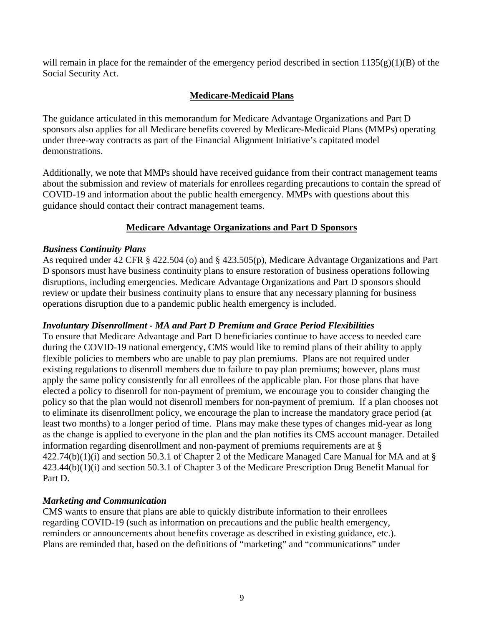will remain in place for the remainder of the emergency period described in section  $1135(g)(1)(B)$  of the Social Security Act.

# **Medicare-Medicaid Plans**

The guidance articulated in this memorandum for Medicare Advantage Organizations and Part D sponsors also applies for all Medicare benefits covered by Medicare-Medicaid Plans (MMPs) operating under three-way contracts as part of the Financial Alignment Initiative's capitated model demonstrations.

Additionally, we note that MMPs should have received guidance from their contract management teams about the submission and review of materials for enrollees regarding precautions to contain the spread of COVID-19 and information about the public health emergency. MMPs with questions about this guidance should contact their contract management teams.

## **Medicare Advantage Organizations and Part D Sponsors**

#### *Business Continuity Plans*

As required under 42 CFR § 422.504 (o) and § 423.505(p), Medicare Advantage Organizations and Part D sponsors must have business continuity plans to ensure restoration of business operations following disruptions, including emergencies. Medicare Advantage Organizations and Part D sponsors should review or update their business continuity plans to ensure that any necessary planning for business operations disruption due to a pandemic public health emergency is included.

#### *Involuntary Disenrollment - MA and Part D Premium and Grace Period Flexibilities*

To ensure that Medicare Advantage and Part D beneficiaries continue to have access to needed care during the COVID-19 national emergency, CMS would like to remind plans of their ability to apply flexible policies to members who are unable to pay plan premiums. Plans are not required under existing regulations to disenroll members due to failure to pay plan premiums; however, plans must apply the same policy consistently for all enrollees of the applicable plan. For those plans that have elected a policy to disenroll for non-payment of premium, we encourage you to consider changing the policy so that the plan would not disenroll members for non-payment of premium. If a plan chooses not to eliminate its disenrollment policy, we encourage the plan to increase the mandatory grace period (at least two months) to a longer period of time. Plans may make these types of changes mid-year as long as the change is applied to everyone in the plan and the plan notifies its CMS account manager. Detailed information regarding disenrollment and non-payment of premiums requirements are at §  $422.74(b)(1)(i)$  and section 50.3.1 of Chapter 2 of the Medicare Managed Care Manual for MA and at § 423.44(b)(1)(i) and section 50.3.1 of Chapter 3 of the Medicare Prescription Drug Benefit Manual for Part D.

#### *Marketing and Communication*

CMS wants to ensure that plans are able to quickly distribute information to their enrollees regarding COVID-19 (such as information on precautions and the public health emergency, reminders or announcements about benefits coverage as described in existing guidance, etc.). Plans are reminded that, based on the definitions of "marketing" and "communications" under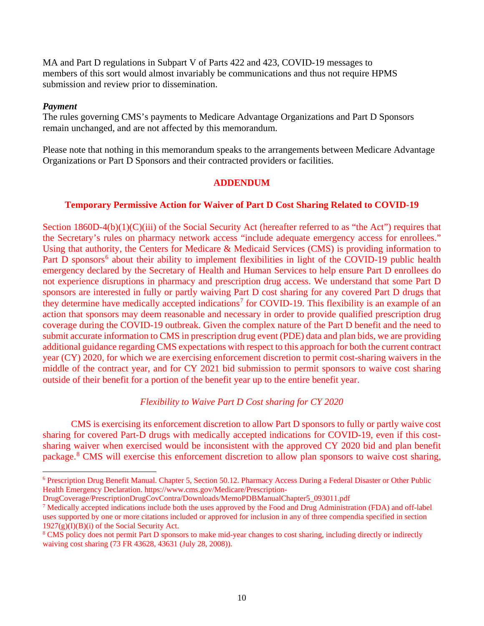MA and Part D regulations in Subpart V of Parts 422 and 423, COVID-19 messages to members of this sort would almost invariably be communications and thus not require HPMS submission and review prior to dissemination.

#### *Payment*

The rules governing CMS's payments to Medicare Advantage Organizations and Part D Sponsors remain unchanged, and are not affected by this memorandum.

Please note that nothing in this memorandum speaks to the arrangements between Medicare Advantage Organizations or Part D Sponsors and their contracted providers or facilities.

#### **ADDENDUM**

#### **Temporary Permissive Action for Waiver of Part D Cost Sharing Related to COVID-19**

Section 1860D-4(b)(1)(C)(iii) of the Social Security Act (hereafter referred to as "the Act") requires that the Secretary's rules on pharmacy network access "include adequate emergency access for enrollees." Using that authority, the Centers for Medicare & Medicaid Services (CMS) is providing information to Part D sponsors<sup>[6](#page-9-0)</sup> about their ability to implement flexibilities in light of the COVID-19 public health emergency declared by the Secretary of Health and Human Services to help ensure Part D enrollees do not experience disruptions in pharmacy and prescription drug access. We understand that some Part D sponsors are interested in fully or partly waiving Part D cost sharing for any covered Part D drugs that they determine have medically accepted indications<sup>[7](#page-9-1)</sup> for COVID-19. This flexibility is an example of an action that sponsors may deem reasonable and necessary in order to provide qualified prescription drug coverage during the COVID-19 outbreak. Given the complex nature of the Part D benefit and the need to submit accurate information to CMS in prescription drug event (PDE) data and plan bids, we are providing additional guidance regarding CMS expectations with respect to this approach for both the current contract year (CY) 2020, for which we are exercising enforcement discretion to permit cost-sharing waivers in the middle of the contract year, and for CY 2021 bid submission to permit sponsors to waive cost sharing outside of their benefit for a portion of the benefit year up to the entire benefit year.

#### *Flexibility to Waive Part D Cost sharing for CY 2020*

CMS is exercising its enforcement discretion to allow Part D sponsors to fully or partly waive cost sharing for covered Part-D drugs with medically accepted indications for COVID-19, even if this costsharing waiver when exercised would be inconsistent with the approved CY 2020 bid and plan benefit package.[8](#page-9-2) CMS will exercise this enforcement discretion to allow plan sponsors to waive cost sharing,

<span id="page-9-0"></span> <sup>6</sup> Prescription Drug Benefit Manual. Chapter 5, Section 50.12. Pharmacy Access During a Federal Disaster or Other Public Health Emergency Declaration. https://www.cms.gov/Medicare/Prescription-

DrugCoverage/PrescriptionDrugCovContra/Downloads/MemoPDBManualChapter5\_093011.pdf

<span id="page-9-1"></span><sup>7</sup> Medically accepted indications include both the uses approved by the Food and Drug Administration (FDA) and off-label uses supported by one or more citations included or approved for inclusion in any of three compendia specified in section  $1927(g)(I)(B)(i)$  of the Social Security Act.

<span id="page-9-2"></span><sup>8</sup> CMS policy does not permit Part D sponsors to make mid-year changes to cost sharing, including directly or indirectly waiving cost sharing (73 FR 43628, 43631 (July 28, 2008)).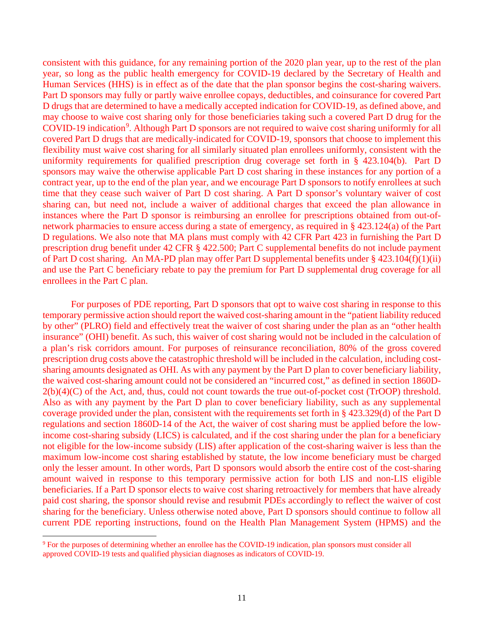consistent with this guidance, for any remaining portion of the 2020 plan year, up to the rest of the plan year, so long as the public health emergency for COVID-19 declared by the Secretary of Health and Human Services (HHS) is in effect as of the date that the plan sponsor begins the cost-sharing waivers. Part D sponsors may fully or partly waive enrollee copays, deductibles, and coinsurance for covered Part D drugs that are determined to have a medically accepted indication for COVID-19, as defined above, and may choose to waive cost sharing only for those beneficiaries taking such a covered Part D drug for the COVID-1[9](#page-10-0) indication<sup>9</sup>. Although Part D sponsors are not required to waive cost sharing uniformly for all covered Part D drugs that are medically-indicated for COVID-19, sponsors that choose to implement this flexibility must waive cost sharing for all similarly situated plan enrollees uniformly, consistent with the uniformity requirements for qualified prescription drug coverage set forth in § 423.104(b). Part D sponsors may waive the otherwise applicable Part D cost sharing in these instances for any portion of a contract year, up to the end of the plan year, and we encourage Part D sponsors to notify enrollees at such time that they cease such waiver of Part D cost sharing. A Part D sponsor's voluntary waiver of cost sharing can, but need not, include a waiver of additional charges that exceed the plan allowance in instances where the Part D sponsor is reimbursing an enrollee for prescriptions obtained from out-ofnetwork pharmacies to ensure access during a state of emergency, as required in § 423.124(a) of the Part D regulations. We also note that MA plans must comply with 42 CFR Part 423 in furnishing the Part D prescription drug benefit under 42 CFR § 422.500; Part C supplemental benefits do not include payment of Part D cost sharing. An MA-PD plan may offer Part D supplemental benefits under § 423.104(f)(1)(ii) and use the Part C beneficiary rebate to pay the premium for Part D supplemental drug coverage for all enrollees in the Part C plan.

For purposes of PDE reporting, Part D sponsors that opt to waive cost sharing in response to this temporary permissive action should report the waived cost-sharing amount in the "patient liability reduced by other" (PLRO) field and effectively treat the waiver of cost sharing under the plan as an "other health insurance" (OHI) benefit. As such, this waiver of cost sharing would not be included in the calculation of a plan's risk corridors amount. For purposes of reinsurance reconciliation, 80% of the gross covered prescription drug costs above the catastrophic threshold will be included in the calculation, including costsharing amounts designated as OHI. As with any payment by the Part D plan to cover beneficiary liability, the waived cost-sharing amount could not be considered an "incurred cost," as defined in section 1860D-2(b)(4)(C) of the Act, and, thus, could not count towards the true out-of-pocket cost (TrOOP) threshold. Also as with any payment by the Part D plan to cover beneficiary liability, such as any supplemental coverage provided under the plan, consistent with the requirements set forth in § 423.329(d) of the Part D regulations and section 1860D-14 of the Act, the waiver of cost sharing must be applied before the lowincome cost-sharing subsidy (LICS) is calculated, and if the cost sharing under the plan for a beneficiary not eligible for the low-income subsidy (LIS) after application of the cost-sharing waiver is less than the maximum low-income cost sharing established by statute, the low income beneficiary must be charged only the lesser amount. In other words, Part D sponsors would absorb the entire cost of the cost-sharing amount waived in response to this temporary permissive action for both LIS and non-LIS eligible beneficiaries. If a Part D sponsor elects to waive cost sharing retroactively for members that have already paid cost sharing, the sponsor should revise and resubmit PDEs accordingly to reflect the waiver of cost sharing for the beneficiary. Unless otherwise noted above, Part D sponsors should continue to follow all current PDE reporting instructions, found on the Health Plan Management System (HPMS) and the

<span id="page-10-0"></span> <sup>9</sup> For the purposes of determining whether an enrollee has the COVID-19 indication, plan sponsors must consider all approved COVID-19 tests and qualified physician diagnoses as indicators of COVID-19.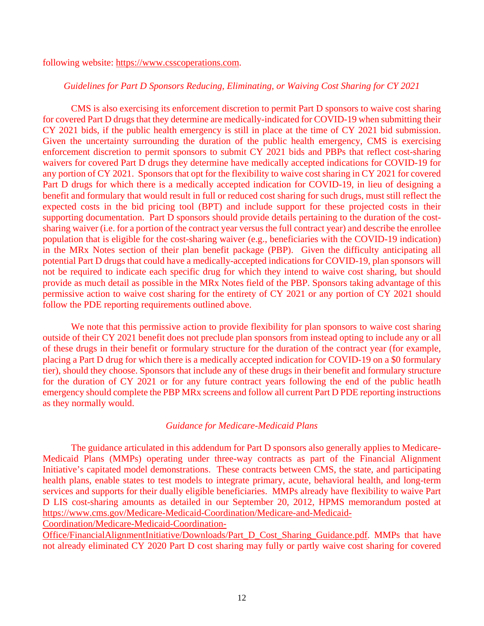following website: [https://www.csscoperations.com.](https://www.csscoperations.com/)

#### *Guidelines for Part D Sponsors Reducing, Eliminating, or Waiving Cost Sharing for CY 2021*

CMS is also exercising its enforcement discretion to permit Part D sponsors to waive cost sharing for covered Part D drugs that they determine are medically-indicated for COVID-19 when submitting their CY 2021 bids, if the public health emergency is still in place at the time of CY 2021 bid submission. Given the uncertainty surrounding the duration of the public health emergency, CMS is exercising enforcement discretion to permit sponsors to submit CY 2021 bids and PBPs that reflect cost-sharing waivers for covered Part D drugs they determine have medically accepted indications for COVID-19 for any portion of CY 2021. Sponsors that opt for the flexibility to waive cost sharing in CY 2021 for covered Part D drugs for which there is a medically accepted indication for COVID-19, in lieu of designing a benefit and formulary that would result in full or reduced cost sharing for such drugs, must still reflect the expected costs in the bid pricing tool (BPT) and include support for these projected costs in their supporting documentation. Part D sponsors should provide details pertaining to the duration of the costsharing waiver (i.e. for a portion of the contract year versus the full contract year) and describe the enrollee population that is eligible for the cost-sharing waiver (e.g., beneficiaries with the COVID-19 indication) in the MRx Notes section of their plan benefit package (PBP). Given the difficulty anticipating all potential Part D drugs that could have a medically-accepted indications for COVID-19, plan sponsors will not be required to indicate each specific drug for which they intend to waive cost sharing, but should provide as much detail as possible in the MRx Notes field of the PBP. Sponsors taking advantage of this permissive action to waive cost sharing for the entirety of CY 2021 or any portion of CY 2021 should follow the PDE reporting requirements outlined above.

We note that this permissive action to provide flexibility for plan sponsors to waive cost sharing outside of their CY 2021 benefit does not preclude plan sponsors from instead opting to include any or all of these drugs in their benefit or formulary structure for the duration of the contract year (for example, placing a Part D drug for which there is a medically accepted indication for COVID-19 on a \$0 formulary tier), should they choose. Sponsors that include any of these drugs in their benefit and formulary structure for the duration of CY 2021 or for any future contract years following the end of the public heatlh emergency should complete the PBP MRx screens and follow all current Part D PDE reporting instructions as they normally would.

#### *Guidance for Medicare-Medicaid Plans*

The guidance articulated in this addendum for Part D sponsors also generally applies to Medicare-Medicaid Plans (MMPs) operating under three-way contracts as part of the Financial Alignment Initiative's capitated model demonstrations. These contracts between CMS, the state, and participating health plans, enable states to test models to integrate primary, acute, behavioral health, and long-term services and supports for their dually eligible beneficiaries. MMPs already have flexibility to waive Part D LIS cost-sharing amounts as detailed in our September 20, 2012, HPMS memorandum posted at [https://www.cms.gov/Medicare-Medicaid-Coordination/Medicare-and-Medicaid-](https://www.cms.gov/Medicare-Medicaid-Coordination/Medicare-and-Medicaid-Coordination/Medicare-Medicaid-Coordination-Office/FinancialAlignmentInitiative/Downloads/Part_D_Cost_Sharing_Guidance.pdf)

[Coordination/Medicare-Medicaid-Coordination-](https://www.cms.gov/Medicare-Medicaid-Coordination/Medicare-and-Medicaid-Coordination/Medicare-Medicaid-Coordination-Office/FinancialAlignmentInitiative/Downloads/Part_D_Cost_Sharing_Guidance.pdf)

[Office/FinancialAlignmentInitiative/Downloads/Part\\_D\\_Cost\\_Sharing\\_Guidance.pdf.](https://www.cms.gov/Medicare-Medicaid-Coordination/Medicare-and-Medicaid-Coordination/Medicare-Medicaid-Coordination-Office/FinancialAlignmentInitiative/Downloads/Part_D_Cost_Sharing_Guidance.pdf) MMPs that have not already eliminated CY 2020 Part D cost sharing may fully or partly waive cost sharing for covered